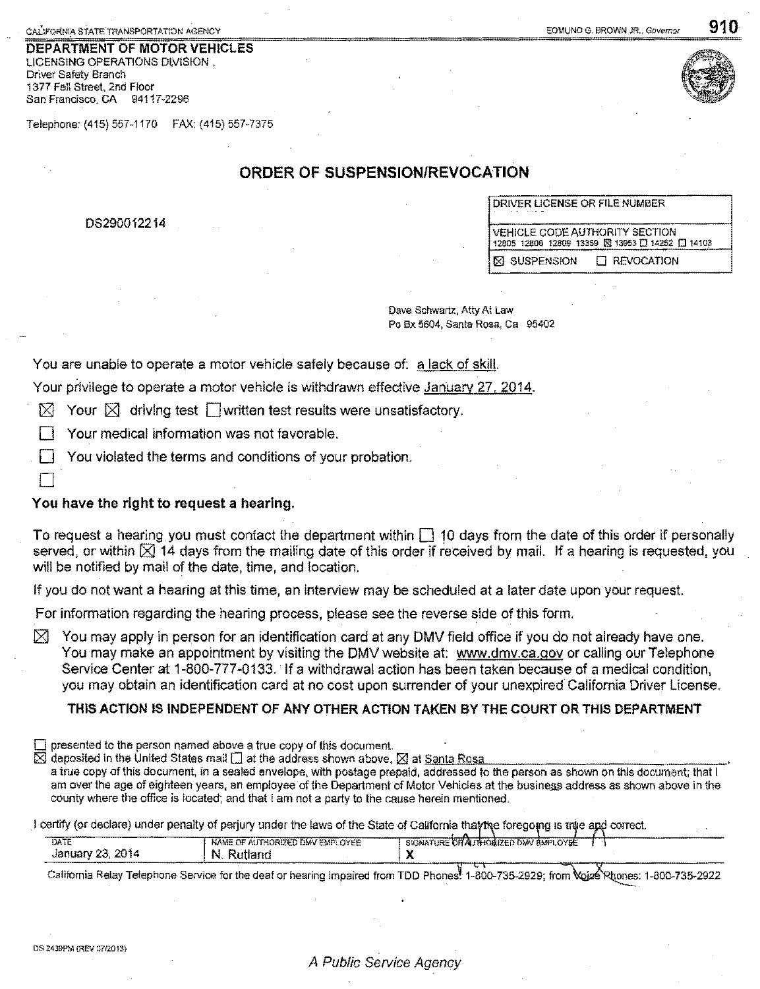CALIFORNIA STATE TRANSPORTATION AGENCY

DEPARTMENT OF MOTOR VEHICLES LICENSING OPERATIONS DIVISION. Driver Safety Branch 1377 Fell Street, 2nd Floor San Francisco, CA 94117-2296

Telephone: (415) 557-1170 FAX: (415) 557-7375

# ORDER OF SUSPENSION/REVOCATION

DS290012214

| DRIVER LICENSE OR FILE NUMBER         |                                                 |
|---------------------------------------|-------------------------------------------------|
| <b>VEHICLE CODE AUTHORITY SECTION</b> | 12805 12806 12809 13359 図 13953 □ 14252 □ 14103 |
| IX SUSPENSION                         | <b>IT REVOCATION</b>                            |

Dave Schwartz, Atty At Law Po Bx 5604, Santa Rosa, Ca 95402

You are unable to operate a motor vehicle safely because of: a lack of skill.

Your privilege to operate a motor vehicle is withdrawn effective Januarv 27. 2014.

 $[\![\%]\!]$  Your  $[\![\%]\!]$  driving test  $[\![]$  written test results were unsatisfactory.

Your medical information was not favorable.

You violated the terms and conditions of your probation.

## You have the right to request a hearing.

 $\Box$ 

To request a hearing you must contact the department within  $\Box$  10 days from the date of this order if personally served, or within  $\boxtimes$  14 days from the mailing date of this order if received by mail. If a hearing is requested, you will be notified by mail of the date, time, and location.

If you do not want a hearing at this time, an interview may be scheduled at a later date upon your request.

For information regarding the hearing process, please see the reverse side of this form.

 $\boxtimes$  You may apply in person for an identification card at any DMV field office if you do not already have one. You may make an appointment by visiting the DMV website at: www.dmv.ca.gov or calling our Telephone Service Center at 1-800-777-0133. If a withdrawal action has been taken because of a medical condition, you may obtain an identification card at no cost upon surrender of your unexpired California Driver License.

#### THIS ACTION IS INDEPENDENT OF ANY OTHER ACTION TAKEN BY THE COURT OR THIS DEPARTMENT

 $\Box$  presented to the person named above a true copy of this document.

 $\overline{\boxtimes}$  deposited in the United States mail  $\Box$  at the address shown above,  $\boxtimes$  at Santa Rosa a true copy of this document, in a sealed envelope, with postage prepaid, addressed to the person as shown on this document; that I am over the age of eighteen years, an employee of the Department of Motor Vehicles at the business address as shown above in the county where the office is located; and that I am not a party to the cause herein mentioned.

|                  | refury tor declare) under penaity of perjury under the laws of the State of California thaying foregoing is trile and correct. |                                      |  |
|------------------|--------------------------------------------------------------------------------------------------------------------------------|--------------------------------------|--|
| DATE             | NAME OF AUTHORIZED DMV EMPLOYEE                                                                                                | SIGNATURE OF AUTHORIZED DWV BMPLOYEE |  |
| January 23, 2014 | . N. Rutland                                                                                                                   |                                      |  |

California Relay Telephone Service for the deaf or hearing impaired from TDD Phones. 1-800-735-2929; from Voize Rhones: 1-800-735-2922

## A Public Service Agency